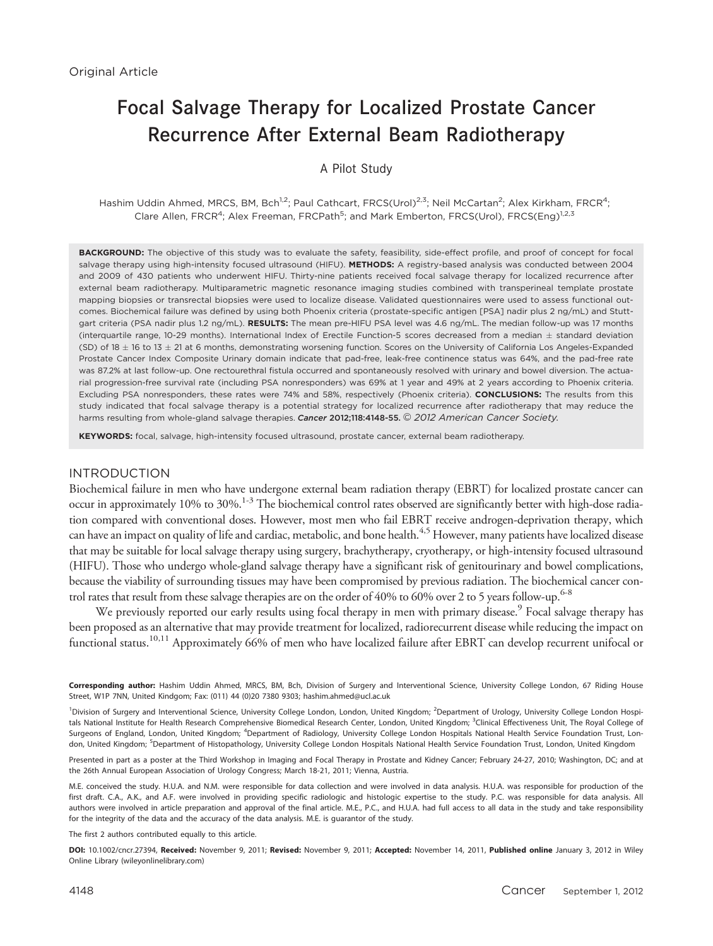# Focal Salvage Therapy for Localized Prostate Cancer Recurrence After External Beam Radiotherapy

A Pilot Study

Hashim Uddin Ahmed, MRCS, BM, Bch $^{1,2}$ ; Paul Cathcart, FRCS(Urol) $^{2,3}$ ; Neil McCartan $^2$ ; Alex Kirkham, FRCR $^4$ ; Clare Allen, FRCR<sup>4</sup>; Alex Freeman, FRCPath<sup>5</sup>; and Mark Emberton, FRCS(Urol), FRCS(Eng)<sup>1,2,3</sup>

BACKGROUND: The objective of this study was to evaluate the safety, feasibility, side-effect profile, and proof of concept for focal salvage therapy using high-intensity focused ultrasound (HIFU). METHODS: A registry-based analysis was conducted between 2004 and 2009 of 430 patients who underwent HIFU. Thirty-nine patients received focal salvage therapy for localized recurrence after external beam radiotherapy. Multiparametric magnetic resonance imaging studies combined with transperineal template prostate mapping biopsies or transrectal biopsies were used to localize disease. Validated questionnaires were used to assess functional outcomes. Biochemical failure was defined by using both Phoenix criteria (prostate-specific antigen [PSA] nadir plus 2 ng/mL) and Stuttgart criteria (PSA nadir plus 1.2 ng/mL). RESULTS: The mean pre-HIFU PSA level was 4.6 ng/mL. The median follow-up was 17 months (interquartile range, 10-29 months). International Index of Erectile Function-5 scores decreased from a median  $\pm$  standard deviation (SD) of 18  $\pm$  16 to 13  $\pm$  21 at 6 months, demonstrating worsening function. Scores on the University of California Los Angeles-Expanded Prostate Cancer Index Composite Urinary domain indicate that pad-free, leak-free continence status was 64%, and the pad-free rate was 87.2% at last follow-up. One rectourethral fistula occurred and spontaneously resolved with urinary and bowel diversion. The actuarial progression-free survival rate (including PSA nonresponders) was 69% at 1 year and 49% at 2 years according to Phoenix criteria. Excluding PSA nonresponders, these rates were 74% and 58%, respectively (Phoenix criteria). CONCLUSIONS: The results from this study indicated that focal salvage therapy is a potential strategy for localized recurrence after radiotherapy that may reduce the harms resulting from whole-gland salvage therapies. Cancer 2012;118:4148-55. © 2012 American Cancer Society.

KEYWORDS: focal, salvage, high-intensity focused ultrasound, prostate cancer, external beam radiotherapy.

# INTRODUCTION

Biochemical failure in men who have undergone external beam radiation therapy (EBRT) for localized prostate cancer can occur in approximately 10% to 30%.<sup>1-3</sup> The biochemical control rates observed are significantly better with high-dose radiation compared with conventional doses. However, most men who fail EBRT receive androgen-deprivation therapy, which can have an impact on quality of life and cardiac, metabolic, and bone health.<sup>4,5</sup> However, many patients have localized disease that may be suitable for local salvage therapy using surgery, brachytherapy, cryotherapy, or high-intensity focused ultrasound (HIFU). Those who undergo whole-gland salvage therapy have a significant risk of genitourinary and bowel complications, because the viability of surrounding tissues may have been compromised by previous radiation. The biochemical cancer control rates that result from these salvage therapies are on the order of  $40\%$  to  $60\%$  over 2 to 5 years follow-up.<sup>6-8</sup>

We previously reported our early results using focal therapy in men with primary disease.<sup>9</sup> Focal salvage therapy has been proposed as an alternative that may provide treatment for localized, radiorecurrent disease while reducing the impact on functional status.<sup>10,11</sup> Approximately 66% of men who have localized failure after EBRT can develop recurrent unifocal or

Corresponding author: Hashim Uddin Ahmed, MRCS, BM, Bch, Division of Surgery and Interventional Science, University College London, 67 Riding House Street, W1P 7NN, United Kindgom; Fax: (011) 44 (0)20 7380 9303; hashim.ahmed@ucl.ac.uk

<sup>1</sup>Division of Surgery and Interventional Science, University College London, London, United Kingdom; <sup>2</sup>Department of Urology, University College London Hospitals National Institute for Health Research Comprehensive Biomedical Research Center, London, United Kingdom; <sup>3</sup>Clinical Effectiveness Unit, The Royal College of Surgeons of England, London, United Kingdom; <sup>4</sup>Department of Radiology, University College London Hospitals National Health Service Foundation Trust, London, United Kingdom; <sup>5</sup>Department of Histopathology, University College London Hospitals National Health Service Foundation Trust, London, United Kingdom

Presented in part as a poster at the Third Workshop in Imaging and Focal Therapy in Prostate and Kidney Cancer; February 24-27, 2010; Washington, DC; and at the 26th Annual European Association of Urology Congress; March 18-21, 2011; Vienna, Austria.

M.E. conceived the study. H.U.A. and N.M. were responsible for data collection and were involved in data analysis. H.U.A. was responsible for production of the first draft. C.A., A.K., and A.F. were involved in providing specific radiologic and histologic expertise to the study. P.C. was responsible for data analysis. All authors were involved in article preparation and approval of the final article. M.E., P.C., and H.U.A. had full access to all data in the study and take responsibility for the integrity of the data and the accuracy of the data analysis. M.E. is guarantor of the study.

The first 2 authors contributed equally to this article.

DOI: 10.1002/cncr.27394, Received: November 9, 2011; Revised: November 9, 2011; Accepted: November 14, 2011, Published online January 3, 2012 in Wiley Online Library (wileyonlinelibrary.com)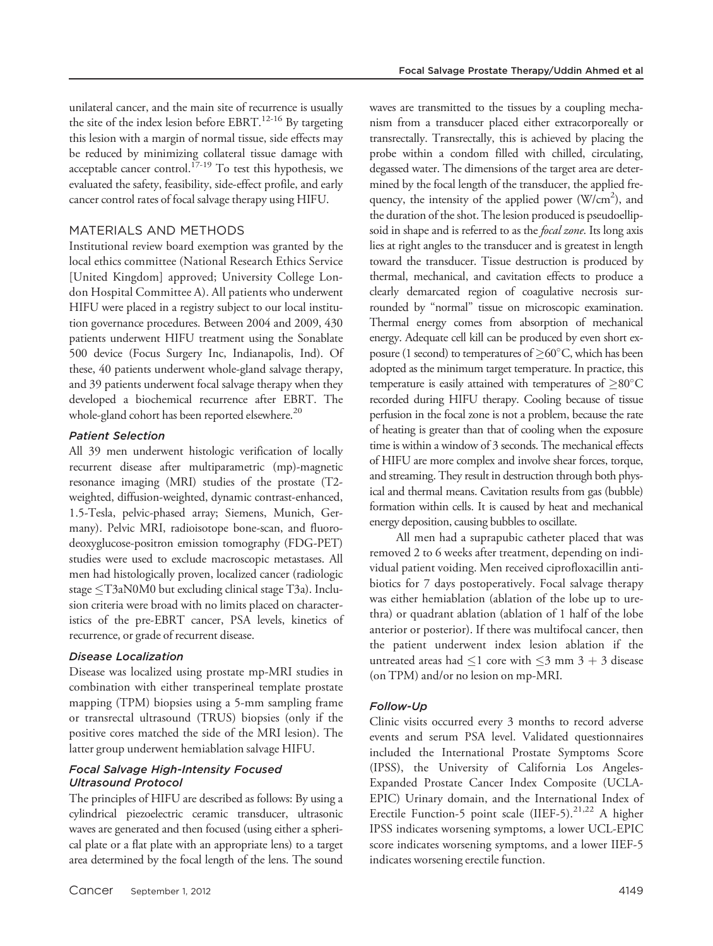unilateral cancer, and the main site of recurrence is usually the site of the index lesion before EBRT.<sup>12-16</sup> By targeting this lesion with a margin of normal tissue, side effects may be reduced by minimizing collateral tissue damage with acceptable cancer control.<sup>17-19</sup> To test this hypothesis, we evaluated the safety, feasibility, side-effect profile, and early cancer control rates of focal salvage therapy using HIFU.

# MATERIALS AND METHODS

Institutional review board exemption was granted by the local ethics committee (National Research Ethics Service [United Kingdom] approved; University College London Hospital Committee A). All patients who underwent HIFU were placed in a registry subject to our local institution governance procedures. Between 2004 and 2009, 430 patients underwent HIFU treatment using the Sonablate 500 device (Focus Surgery Inc, Indianapolis, Ind). Of these, 40 patients underwent whole-gland salvage therapy, and 39 patients underwent focal salvage therapy when they developed a biochemical recurrence after EBRT. The whole-gland cohort has been reported elsewhere.<sup>20</sup>

# Patient Selection

All 39 men underwent histologic verification of locally recurrent disease after multiparametric (mp)-magnetic resonance imaging (MRI) studies of the prostate (T2 weighted, diffusion-weighted, dynamic contrast-enhanced, 1.5-Tesla, pelvic-phased array; Siemens, Munich, Germany). Pelvic MRI, radioisotope bone-scan, and fluorodeoxyglucose-positron emission tomography (FDG-PET) studies were used to exclude macroscopic metastases. All men had histologically proven, localized cancer (radiologic stage  $\leq$ T3aN0M0 but excluding clinical stage T3a). Inclusion criteria were broad with no limits placed on characteristics of the pre-EBRT cancer, PSA levels, kinetics of recurrence, or grade of recurrent disease.

#### Disease Localization

Disease was localized using prostate mp-MRI studies in combination with either transperineal template prostate mapping (TPM) biopsies using a 5-mm sampling frame or transrectal ultrasound (TRUS) biopsies (only if the positive cores matched the side of the MRI lesion). The latter group underwent hemiablation salvage HIFU.

# Focal Salvage High-Intensity Focused Ultrasound Protocol

The principles of HIFU are described as follows: By using a cylindrical piezoelectric ceramic transducer, ultrasonic waves are generated and then focused (using either a spherical plate or a flat plate with an appropriate lens) to a target area determined by the focal length of the lens. The sound waves are transmitted to the tissues by a coupling mechanism from a transducer placed either extracorporeally or transrectally. Transrectally, this is achieved by placing the probe within a condom filled with chilled, circulating, degassed water. The dimensions of the target area are determined by the focal length of the transducer, the applied frequency, the intensity of the applied power  $(W/cm<sup>2</sup>)$ , and the duration of the shot. The lesion produced is pseudoellipsoid in shape and is referred to as the *focal zone*. Its long axis lies at right angles to the transducer and is greatest in length toward the transducer. Tissue destruction is produced by thermal, mechanical, and cavitation effects to produce a clearly demarcated region of coagulative necrosis surrounded by ''normal'' tissue on microscopic examination. Thermal energy comes from absorption of mechanical energy. Adequate cell kill can be produced by even short exposure (1 second) to temperatures of  $\geq$  60 $\degree$ C, which has been adopted as the minimum target temperature. In practice, this temperature is easily attained with temperatures of  $\geq$ 80 $\degree$ C recorded during HIFU therapy. Cooling because of tissue perfusion in the focal zone is not a problem, because the rate of heating is greater than that of cooling when the exposure time is within a window of 3 seconds. The mechanical effects of HIFU are more complex and involve shear forces, torque, and streaming. They result in destruction through both physical and thermal means. Cavitation results from gas (bubble) formation within cells. It is caused by heat and mechanical energy deposition, causing bubbles to oscillate.

All men had a suprapubic catheter placed that was removed 2 to 6 weeks after treatment, depending on individual patient voiding. Men received ciprofloxacillin antibiotics for 7 days postoperatively. Focal salvage therapy was either hemiablation (ablation of the lobe up to urethra) or quadrant ablation (ablation of 1 half of the lobe anterior or posterior). If there was multifocal cancer, then the patient underwent index lesion ablation if the untreated areas had  $\leq$ 1 core with  $\leq$ 3 mm 3 + 3 disease (on TPM) and/or no lesion on mp-MRI.

# Follow-Up

Clinic visits occurred every 3 months to record adverse events and serum PSA level. Validated questionnaires included the International Prostate Symptoms Score (IPSS), the University of California Los Angeles-Expanded Prostate Cancer Index Composite (UCLA-EPIC) Urinary domain, and the International Index of Erectile Function-5 point scale (IIEF-5).<sup>21,22</sup> A higher IPSS indicates worsening symptoms, a lower UCL-EPIC score indicates worsening symptoms, and a lower IIEF-5 indicates worsening erectile function.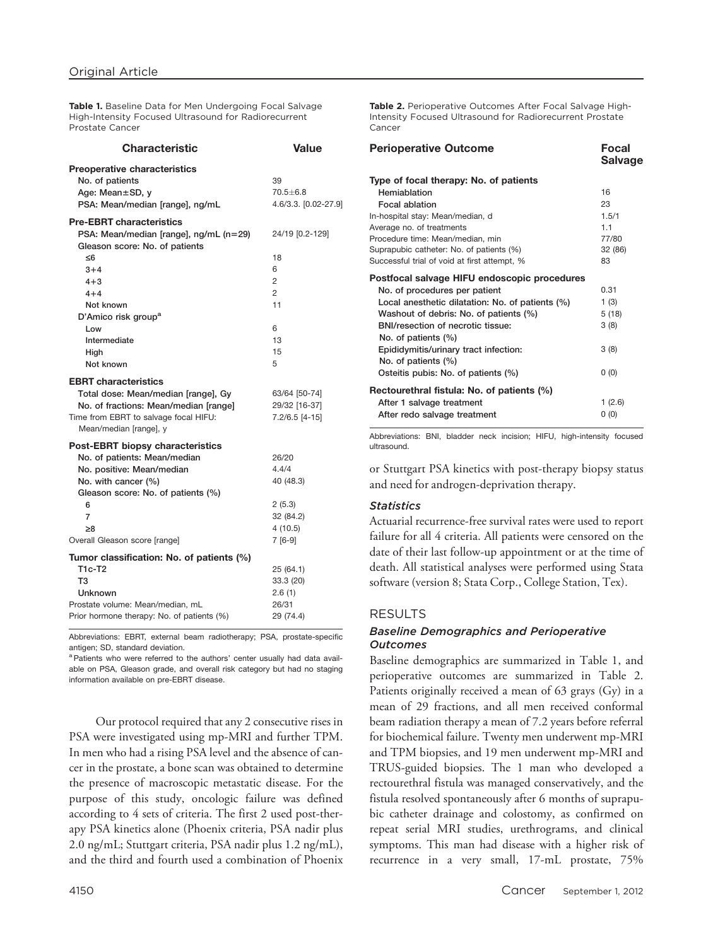Table 1. Baseline Data for Men Undergoing Focal Salvage High-Intensity Focused Ultrasound for Radiorecurrent Prostate Cancer

| <b>Characteristic</b>                                              | <b>Value</b>                    |
|--------------------------------------------------------------------|---------------------------------|
| <b>Preoperative characteristics</b>                                |                                 |
| No. of patients                                                    | 39                              |
| Age: Mean±SD, y                                                    | $70.5 + 6.8$                    |
| PSA: Mean/median [range], ng/mL                                    | 4.6/3.3. [0.02-27.9]            |
| <b>Pre-EBRT</b> characteristics                                    |                                 |
| PSA: Mean/median [range], ng/mL (n=29)                             | 24/19 [0.2-129]                 |
| Gleason score: No. of patients                                     |                                 |
| $\leq 6$                                                           | 18                              |
| $3 + 4$                                                            | 6                               |
| $4 + 3$                                                            | $\overline{2}$                  |
| $4 + 4$                                                            | $\overline{2}$                  |
| Not known                                                          | 11                              |
| D'Amico risk group <sup>a</sup>                                    |                                 |
| Low                                                                | 6                               |
| Intermediate                                                       | 13                              |
| High                                                               | 15                              |
| Not known                                                          | 5                               |
| <b>EBRT</b> characteristics<br>Total dose: Mean/median [range], Gy |                                 |
| No. of fractions: Mean/median [range]                              | 63/64 [50-74]                   |
| Time from EBRT to salvage focal HIFU:                              | 29/32 [16-37]<br>7.2/6.5 [4-15] |
| Mean/median [range], y                                             |                                 |
| <b>Post-EBRT biopsy characteristics</b>                            |                                 |
| No. of patients: Mean/median                                       | 26/20                           |
| No. positive: Mean/median                                          | 4.4/4                           |
| No. with cancer (%)                                                | 40 (48.3)                       |
| Gleason score: No. of patients (%)                                 |                                 |
| 6                                                                  | 2(5.3)                          |
| $\overline{7}$                                                     | 32 (84.2)                       |
| >8                                                                 | 4(10.5)                         |
| Overall Gleason score [range]                                      | $7 [6-9]$                       |
| Tumor classification: No. of patients (%)                          |                                 |
| T1c-T2                                                             | 25(64.1)                        |
| T3                                                                 | 33.3 (20)                       |
| Unknown                                                            | 2.6(1)                          |
| Prostate volume: Mean/median, mL                                   | 26/31                           |
| Prior hormone therapy: No. of patients (%)                         | 29 (74.4)                       |

Abbreviations: EBRT, external beam radiotherapy; PSA, prostate-specific antigen; SD, standard deviation.

<sup>a</sup> Patients who were referred to the authors' center usually had data available on PSA, Gleason grade, and overall risk category but had no staging information available on pre-EBRT disease.

Our protocol required that any 2 consecutive rises in PSA were investigated using mp-MRI and further TPM. In men who had a rising PSA level and the absence of cancer in the prostate, a bone scan was obtained to determine the presence of macroscopic metastatic disease. For the purpose of this study, oncologic failure was defined according to 4 sets of criteria. The first 2 used post-therapy PSA kinetics alone (Phoenix criteria, PSA nadir plus 2.0 ng/mL; Stuttgart criteria, PSA nadir plus 1.2 ng/mL), and the third and fourth used a combination of Phoenix

Table 2. Perioperative Outcomes After Focal Salvage High-Intensity Focused Ultrasound for Radiorecurrent Prostate Cancer

| <b>Perioperative Outcome</b>                     | Focal<br><b>Salvage</b> |
|--------------------------------------------------|-------------------------|
| Type of focal therapy: No. of patients           |                         |
| Hemiablation                                     | 16                      |
| <b>Focal ablation</b>                            | 23                      |
| In-hospital stay: Mean/median, d                 | 1.5/1                   |
| Average no. of treatments                        | 1.1                     |
| Procedure time: Mean/median, min                 | 77/80                   |
| Suprapubic catheter: No. of patients (%)         | 32 (86)                 |
| Successful trial of void at first attempt, %     | 83                      |
| Postfocal salvage HIFU endoscopic procedures     |                         |
| No. of procedures per patient                    | 0.31                    |
| Local anesthetic dilatation: No. of patients (%) | 1(3)                    |
| Washout of debris: No. of patients (%)           | 5(18)                   |
| BNI/resection of necrotic tissue:                | 3(8)                    |
| No. of patients (%)                              |                         |
| Epididymitis/urinary tract infection:            | 3(8)                    |
| No. of patients (%)                              |                         |
| Osteitis pubis: No. of patients (%)              | 0(0)                    |
| Rectourethral fistula: No. of patients (%)       |                         |
| After 1 salvage treatment                        | 1(2.6)                  |
| After redo salvage treatment                     | 0(0)                    |
|                                                  |                         |

Abbreviations: BNI, bladder neck incision; HIFU, high-intensity focused ultrasound.

or Stuttgart PSA kinetics with post-therapy biopsy status and need for androgen-deprivation therapy.

#### **Statistics**

Actuarial recurrence-free survival rates were used to report failure for all 4 criteria. All patients were censored on the date of their last follow-up appointment or at the time of death. All statistical analyses were performed using Stata software (version 8; Stata Corp., College Station, Tex).

#### RESULTS

#### Baseline Demographics and Perioperative **Outcomes**

Baseline demographics are summarized in Table 1, and perioperative outcomes are summarized in Table 2. Patients originally received a mean of 63 grays (Gy) in a mean of 29 fractions, and all men received conformal beam radiation therapy a mean of 7.2 years before referral for biochemical failure. Twenty men underwent mp-MRI and TPM biopsies, and 19 men underwent mp-MRI and TRUS-guided biopsies. The 1 man who developed a rectourethral fistula was managed conservatively, and the fistula resolved spontaneously after 6 months of suprapubic catheter drainage and colostomy, as confirmed on repeat serial MRI studies, urethrograms, and clinical symptoms. This man had disease with a higher risk of recurrence in a very small, 17-mL prostate, 75%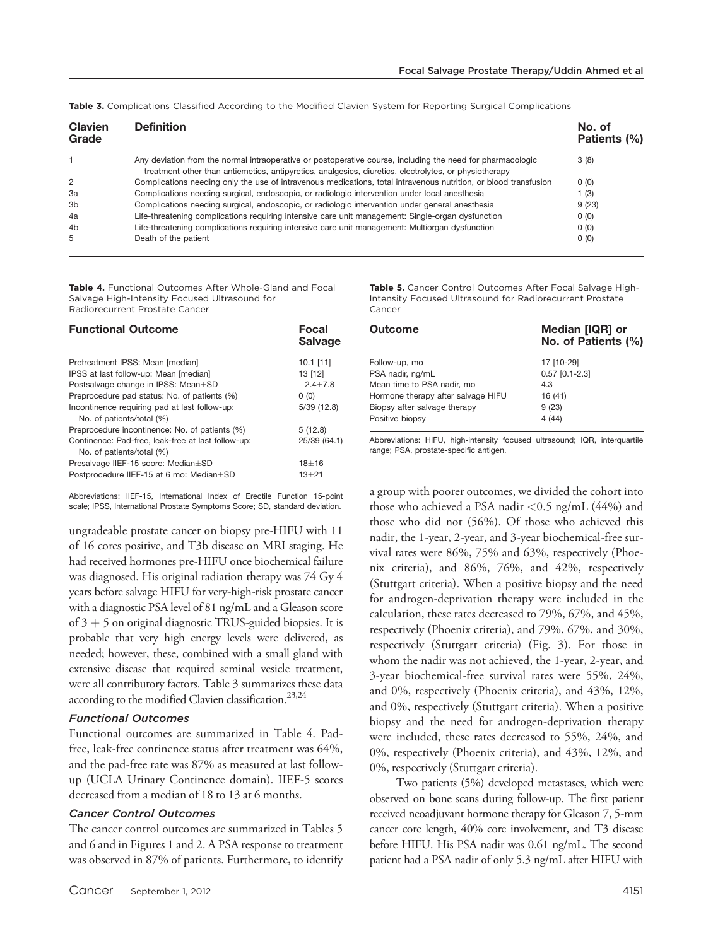Table 3. Complications Classified According to the Modified Clavien System for Reporting Surgical Complications

| <b>Clavien</b><br>Grade | <b>Definition</b>                                                                                                                                                                                                   | No. of<br>Patients (%) |
|-------------------------|---------------------------------------------------------------------------------------------------------------------------------------------------------------------------------------------------------------------|------------------------|
|                         | Any deviation from the normal intraoperative or postoperative course, including the need for pharmacologic<br>treatment other than antiemetics, antipyretics, analgesics, diuretics, electrolytes, or physiotherapy | 3(8)                   |
| 2                       | Complications needing only the use of intravenous medications, total intravenous nutrition, or blood transfusion                                                                                                    | 0(0)                   |
| 3a                      | Complications needing surgical, endoscopic, or radiologic intervention under local anesthesia                                                                                                                       | 1(3)                   |
| 3 <sub>b</sub>          | Complications needing surgical, endoscopic, or radiologic intervention under general anesthesia                                                                                                                     | 9(23)                  |
| 4a                      | Life-threatening complications requiring intensive care unit management: Single-organ dysfunction                                                                                                                   | 0(0)                   |
| 4 <sub>b</sub>          | Life-threatening complications requiring intensive care unit management: Multiorgan dysfunction                                                                                                                     | 0(0)                   |
| 5                       | Death of the patient                                                                                                                                                                                                | 0(0)                   |

Table 4. Functional Outcomes After Whole-Gland and Focal Salvage High-Intensity Focused Ultrasound for Radiorecurrent Prostate Cancer

| Focal<br><b>Salvage</b> |
|-------------------------|
| $10.1$ [11]             |
| 13 [12]                 |
| $-2.4 + 7.8$            |
| 0(0)                    |
| 5/39(12.8)              |
| 5(12.8)                 |
| 25/39 (64.1)            |
| $18 + 16$               |
| $13 + 21$               |
|                         |

Abbreviations: IIEF-15, International Index of Erectile Function 15-point scale; IPSS, International Prostate Symptoms Score; SD, standard deviation.

ungradeable prostate cancer on biopsy pre-HIFU with 11 of 16 cores positive, and T3b disease on MRI staging. He had received hormones pre-HIFU once biochemical failure was diagnosed. His original radiation therapy was 74 Gy 4 years before salvage HIFU for very-high-risk prostate cancer with a diagnostic PSA level of 81 ng/mL and a Gleason score of  $3 + 5$  on original diagnostic TRUS-guided biopsies. It is probable that very high energy levels were delivered, as needed; however, these, combined with a small gland with extensive disease that required seminal vesicle treatment, were all contributory factors. Table 3 summarizes these data according to the modified Clavien classification.<sup>23,24</sup>

# Functional Outcomes

Functional outcomes are summarized in Table 4. Padfree, leak-free continence status after treatment was 64%, and the pad-free rate was 87% as measured at last followup (UCLA Urinary Continence domain). IIEF-5 scores decreased from a median of 18 to 13 at 6 months.

# Cancer Control Outcomes

The cancer control outcomes are summarized in Tables 5 and 6 and in Figures 1 and 2. A PSA response to treatment was observed in 87% of patients. Furthermore, to identify Table 5. Cancer Control Outcomes After Focal Salvage High-Intensity Focused Ultrasound for Radiorecurrent Prostate Cancer

| <b>Outcome</b>                     | Median [IQR] or<br>No. of Patients (%) |
|------------------------------------|----------------------------------------|
| Follow-up, mo                      | 17 [10-29]                             |
| PSA nadir, ng/mL                   | $0.57$ [0.1-2.3]                       |
| Mean time to PSA nadir, mo         | 4.3                                    |
| Hormone therapy after salvage HIFU | 16 (41)                                |
| Biopsy after salvage therapy       | 9(23)                                  |
| Positive biopsy                    | 4(44)                                  |
|                                    |                                        |

Abbreviations: HIFU, high-intensity focused ultrasound; IQR, interquartile range; PSA, prostate-specific antigen.

a group with poorer outcomes, we divided the cohort into those who achieved a PSA nadir  $\langle 0.5 \text{ ng/mL} (44\%)$  and those who did not (56%). Of those who achieved this nadir, the 1-year, 2-year, and 3-year biochemical-free survival rates were 86%, 75% and 63%, respectively (Phoenix criteria), and 86%, 76%, and 42%, respectively (Stuttgart criteria). When a positive biopsy and the need for androgen-deprivation therapy were included in the calculation, these rates decreased to 79%, 67%, and 45%, respectively (Phoenix criteria), and 79%, 67%, and 30%, respectively (Stuttgart criteria) (Fig. 3). For those in whom the nadir was not achieved, the 1-year, 2-year, and 3-year biochemical-free survival rates were 55%, 24%, and 0%, respectively (Phoenix criteria), and 43%, 12%, and 0%, respectively (Stuttgart criteria). When a positive biopsy and the need for androgen-deprivation therapy were included, these rates decreased to 55%, 24%, and 0%, respectively (Phoenix criteria), and 43%, 12%, and 0%, respectively (Stuttgart criteria).

Two patients (5%) developed metastases, which were observed on bone scans during follow-up. The first patient received neoadjuvant hormone therapy for Gleason 7, 5-mm cancer core length, 40% core involvement, and T3 disease before HIFU. His PSA nadir was 0.61 ng/mL. The second patient had a PSA nadir of only 5.3 ng/mL after HIFU with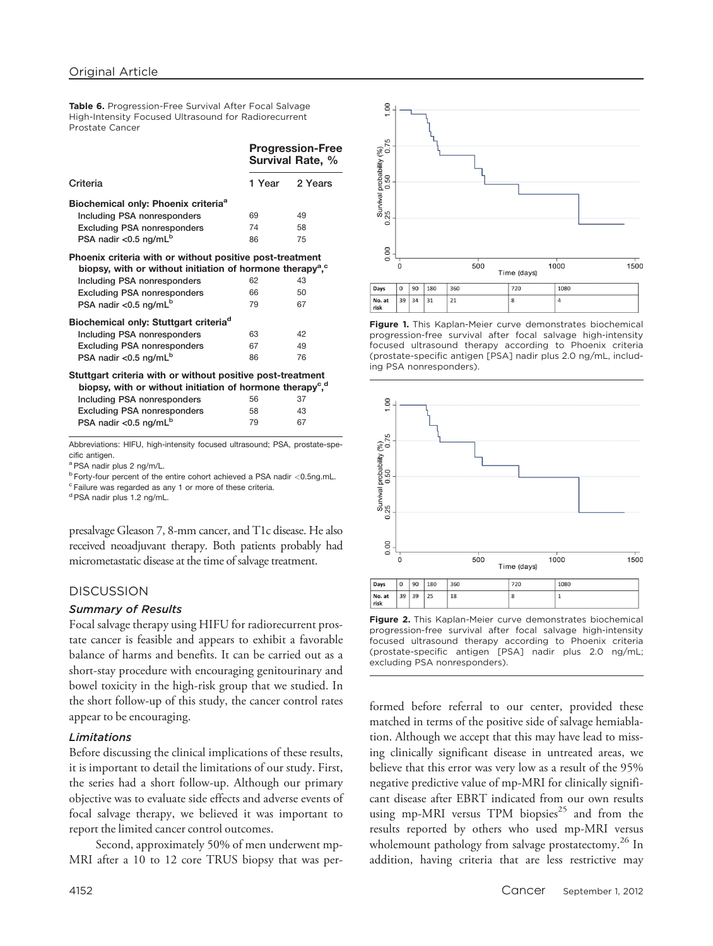Table 6. Progression-Free Survival After Focal Salvage High-Intensity Focused Ultrasound for Radiorecurrent Prostate Cancer

|                                                                                   | <b>Progression-Free</b><br>Survival Rate, % |         |  |  |  |
|-----------------------------------------------------------------------------------|---------------------------------------------|---------|--|--|--|
| Criteria                                                                          | 1 Year                                      | 2 Years |  |  |  |
| Biochemical only: Phoenix criteria <sup>a</sup>                                   |                                             |         |  |  |  |
| Including PSA nonresponders                                                       | 69                                          | 49      |  |  |  |
| <b>Excluding PSA nonresponders</b>                                                | 74                                          | 58      |  |  |  |
| PSA nadir <0.5 ng/mL <sup>b</sup>                                                 | 86                                          | 75      |  |  |  |
| Phoenix criteria with or without positive post-treatment                          |                                             |         |  |  |  |
| biopsy, with or without initiation of hormone therapy <sup>a</sup> , <sup>c</sup> |                                             |         |  |  |  |
| Including PSA nonresponders                                                       | 62                                          | 43      |  |  |  |
| <b>Excluding PSA nonresponders</b>                                                | 66                                          | 50      |  |  |  |
| PSA nadir <0.5 ng/mL <sup>b</sup>                                                 | 79                                          | 67      |  |  |  |
| Biochemical only: Stuttgart criteria <sup>d</sup>                                 |                                             |         |  |  |  |
| Including PSA nonresponders                                                       | 63                                          | 42      |  |  |  |
| <b>Excluding PSA nonresponders</b>                                                | 67                                          | 49      |  |  |  |
| PSA nadir <0.5 ng/mL <sup>b</sup>                                                 | 86                                          | 76      |  |  |  |
| Stuttgart criteria with or without positive post-treatment                        |                                             |         |  |  |  |
| biopsy, with or without initiation of hormone therapy <sup>c</sup> , <sup>d</sup> |                                             |         |  |  |  |
| Including PSA nonresponders                                                       | 56                                          | 37      |  |  |  |
| <b>Excluding PSA nonresponders</b>                                                | 58                                          | 43      |  |  |  |
| PSA nadir <0.5 ng/mL <sup>b</sup>                                                 | 79                                          | 67      |  |  |  |
|                                                                                   |                                             |         |  |  |  |

Abbreviations: HIFU, high-intensity focused ultrasound; PSA, prostate-specific antigen.

a PSA nadir plus 2 ng/m/L.

 $b$  Forty-four percent of the entire cohort achieved a PSA nadir <0.5ng.mL.

 $\textdegree$  Failure was regarded as any 1 or more of these criteria.

<sup>d</sup> PSA nadir plus 1.2 ng/mL.

presalvage Gleason 7, 8-mm cancer, and T1c disease. He also received neoadjuvant therapy. Both patients probably had micrometastatic disease at the time of salvage treatment.

#### **DISCUSSION**

# Summary of Results

Focal salvage therapy using HIFU for radiorecurrent prostate cancer is feasible and appears to exhibit a favorable balance of harms and benefits. It can be carried out as a short-stay procedure with encouraging genitourinary and bowel toxicity in the high-risk group that we studied. In the short follow-up of this study, the cancer control rates appear to be encouraging.

#### Limitations

Before discussing the clinical implications of these results, it is important to detail the limitations of our study. First, the series had a short follow-up. Although our primary objective was to evaluate side effects and adverse events of focal salvage therapy, we believed it was important to report the limited cancer control outcomes.

Second, approximately 50% of men underwent mp-MRI after a 10 to 12 core TRUS biopsy that was per-



Figure 1. This Kaplan-Meier curve demonstrates biochemical progression-free survival after focal salvage high-intensity focused ultrasound therapy according to Phoenix criteria (prostate-specific antigen [PSA] nadir plus 2.0 ng/mL, including PSA nonresponders).



Figure 2. This Kaplan-Meier curve demonstrates biochemical progression-free survival after focal salvage high-intensity focused ultrasound therapy according to Phoenix criteria (prostate-specific antigen [PSA] nadir plus 2.0 ng/mL; excluding PSA nonresponders).

formed before referral to our center, provided these matched in terms of the positive side of salvage hemiablation. Although we accept that this may have lead to missing clinically significant disease in untreated areas, we believe that this error was very low as a result of the 95% negative predictive value of mp-MRI for clinically significant disease after EBRT indicated from our own results using mp-MRI versus TPM biopsies<sup>25</sup> and from the results reported by others who used mp-MRI versus wholemount pathology from salvage prostatectomy.<sup>26</sup> In addition, having criteria that are less restrictive may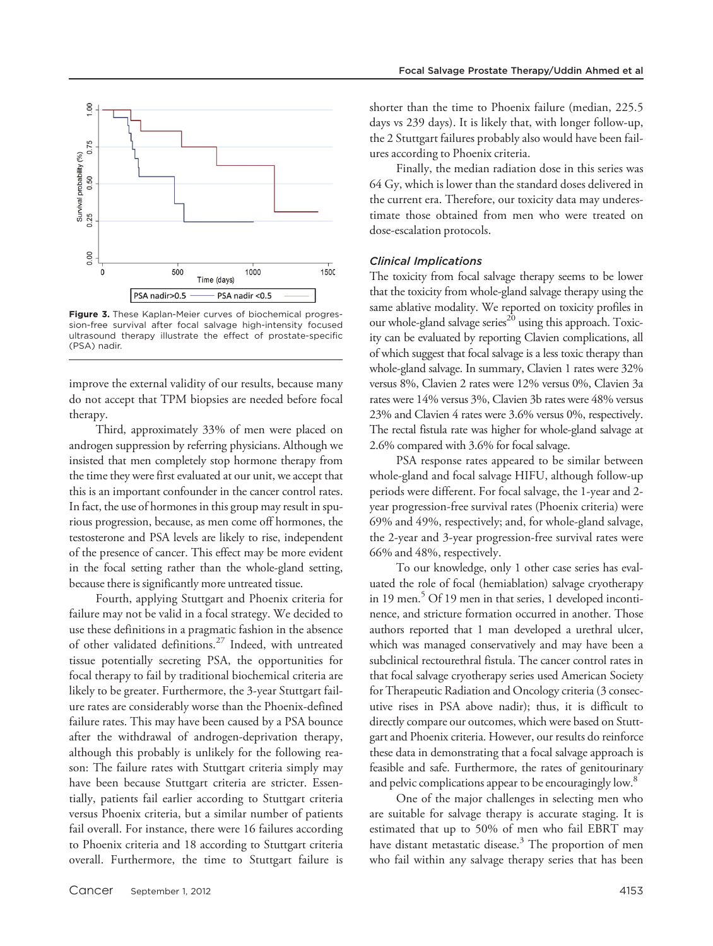

Figure 3. These Kaplan-Meier curves of biochemical progression-free survival after focal salvage high-intensity focused ultrasound therapy illustrate the effect of prostate-specific (PSA) nadir.

improve the external validity of our results, because many do not accept that TPM biopsies are needed before focal therapy.

Third, approximately 33% of men were placed on androgen suppression by referring physicians. Although we insisted that men completely stop hormone therapy from the time they were first evaluated at our unit, we accept that this is an important confounder in the cancer control rates. In fact, the use of hormones in this group may result in spurious progression, because, as men come off hormones, the testosterone and PSA levels are likely to rise, independent of the presence of cancer. This effect may be more evident in the focal setting rather than the whole-gland setting, because there is significantly more untreated tissue.

Fourth, applying Stuttgart and Phoenix criteria for failure may not be valid in a focal strategy. We decided to use these definitions in a pragmatic fashion in the absence of other validated definitions.<sup>27</sup> Indeed, with untreated tissue potentially secreting PSA, the opportunities for focal therapy to fail by traditional biochemical criteria are likely to be greater. Furthermore, the 3-year Stuttgart failure rates are considerably worse than the Phoenix-defined failure rates. This may have been caused by a PSA bounce after the withdrawal of androgen-deprivation therapy, although this probably is unlikely for the following reason: The failure rates with Stuttgart criteria simply may have been because Stuttgart criteria are stricter. Essentially, patients fail earlier according to Stuttgart criteria versus Phoenix criteria, but a similar number of patients fail overall. For instance, there were 16 failures according to Phoenix criteria and 18 according to Stuttgart criteria overall. Furthermore, the time to Stuttgart failure is shorter than the time to Phoenix failure (median, 225.5 days vs 239 days). It is likely that, with longer follow-up, the 2 Stuttgart failures probably also would have been failures according to Phoenix criteria.

Finally, the median radiation dose in this series was 64 Gy, which is lower than the standard doses delivered in the current era. Therefore, our toxicity data may underestimate those obtained from men who were treated on dose-escalation protocols.

#### Clinical Implications

The toxicity from focal salvage therapy seems to be lower that the toxicity from whole-gland salvage therapy using the same ablative modality. We reported on toxicity profiles in our whole-gland salvage series<sup>20</sup> using this approach. Toxicity can be evaluated by reporting Clavien complications, all of which suggest that focal salvage is a less toxic therapy than whole-gland salvage. In summary, Clavien 1 rates were 32% versus 8%, Clavien 2 rates were 12% versus 0%, Clavien 3a rates were 14% versus 3%, Clavien 3b rates were 48% versus 23% and Clavien 4 rates were 3.6% versus 0%, respectively. The rectal fistula rate was higher for whole-gland salvage at 2.6% compared with 3.6% for focal salvage.

PSA response rates appeared to be similar between whole-gland and focal salvage HIFU, although follow-up periods were different. For focal salvage, the 1-year and 2 year progression-free survival rates (Phoenix criteria) were 69% and 49%, respectively; and, for whole-gland salvage, the 2-year and 3-year progression-free survival rates were 66% and 48%, respectively.

To our knowledge, only 1 other case series has evaluated the role of focal (hemiablation) salvage cryotherapy in 19 men. $5$  Of 19 men in that series, 1 developed incontinence, and stricture formation occurred in another. Those authors reported that 1 man developed a urethral ulcer, which was managed conservatively and may have been a subclinical rectourethral fistula. The cancer control rates in that focal salvage cryotherapy series used American Society for Therapeutic Radiation and Oncology criteria (3 consecutive rises in PSA above nadir); thus, it is difficult to directly compare our outcomes, which were based on Stuttgart and Phoenix criteria. However, our results do reinforce these data in demonstrating that a focal salvage approach is feasible and safe. Furthermore, the rates of genitourinary and pelvic complications appear to be encouragingly low.<sup>8</sup>

One of the major challenges in selecting men who are suitable for salvage therapy is accurate staging. It is estimated that up to 50% of men who fail EBRT may have distant metastatic disease.<sup>3</sup> The proportion of men who fail within any salvage therapy series that has been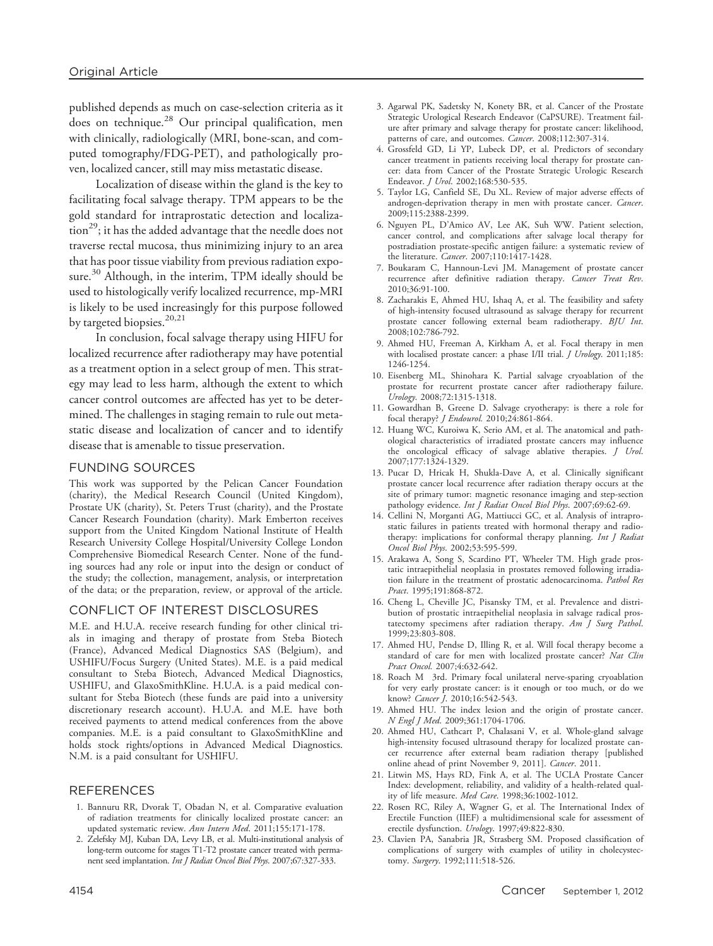published depends as much on case-selection criteria as it does on technique.<sup>28</sup> Our principal qualification, men with clinically, radiologically (MRI, bone-scan, and computed tomography/FDG-PET), and pathologically proven, localized cancer, still may miss metastatic disease.

Localization of disease within the gland is the key to facilitating focal salvage therapy. TPM appears to be the gold standard for intraprostatic detection and localization<sup>29</sup>; it has the added advantage that the needle does not traverse rectal mucosa, thus minimizing injury to an area that has poor tissue viability from previous radiation exposure.<sup>30</sup> Although, in the interim, TPM ideally should be used to histologically verify localized recurrence, mp-MRI is likely to be used increasingly for this purpose followed by targeted biopsies.<sup>20,21</sup>

In conclusion, focal salvage therapy using HIFU for localized recurrence after radiotherapy may have potential as a treatment option in a select group of men. This strategy may lead to less harm, although the extent to which cancer control outcomes are affected has yet to be determined. The challenges in staging remain to rule out metastatic disease and localization of cancer and to identify disease that is amenable to tissue preservation.

#### FUNDING SOURCES

This work was supported by the Pelican Cancer Foundation (charity), the Medical Research Council (United Kingdom), Prostate UK (charity), St. Peters Trust (charity), and the Prostate Cancer Research Foundation (charity). Mark Emberton receives support from the United Kingdom National Institute of Health Research University College Hospital/University College London Comprehensive Biomedical Research Center. None of the funding sources had any role or input into the design or conduct of the study; the collection, management, analysis, or interpretation of the data; or the preparation, review, or approval of the article.

# CONFLICT OF INTEREST DISCLOSURES

M.E. and H.U.A. receive research funding for other clinical trials in imaging and therapy of prostate from Steba Biotech (France), Advanced Medical Diagnostics SAS (Belgium), and USHIFU/Focus Surgery (United States). M.E. is a paid medical consultant to Steba Biotech, Advanced Medical Diagnostics, USHIFU, and GlaxoSmithKline. H.U.A. is a paid medical consultant for Steba Biotech (these funds are paid into a university discretionary research account). H.U.A. and M.E. have both received payments to attend medical conferences from the above companies. M.E. is a paid consultant to GlaxoSmithKline and holds stock rights/options in Advanced Medical Diagnostics. N.M. is a paid consultant for USHIFU.

#### REFERENCES

- 1. Bannuru RR, Dvorak T, Obadan N, et al. Comparative evaluation of radiation treatments for clinically localized prostate cancer: an updated systematic review. Ann Intern Med. 2011;155:171-178.
- 2. Zelefsky MJ, Kuban DA, Levy LB, et al. Multi-institutional analysis of long-term outcome for stages T1-T2 prostate cancer treated with permanent seed implantation. Int J Radiat Oncol Biol Phys. 2007;67:327-333.
- 3. Agarwal PK, Sadetsky N, Konety BR, et al. Cancer of the Prostate Strategic Urological Research Endeavor (CaPSURE). Treatment failure after primary and salvage therapy for prostate cancer: likelihood, patterns of care, and outcomes. Cancer. 2008;112:307-314.
- 4. Grossfeld GD, Li YP, Lubeck DP, et al. Predictors of secondary cancer treatment in patients receiving local therapy for prostate cancer: data from Cancer of the Prostate Strategic Urologic Research Endeavor. J Urol. 2002;168:530-535.
- 5. Taylor LG, Canfield SE, Du XL. Review of major adverse effects of androgen-deprivation therapy in men with prostate cancer. Cancer. 2009;115:2388-2399.
- 6. Nguyen PL, D'Amico AV, Lee AK, Suh WW. Patient selection, cancer control, and complications after salvage local therapy for postradiation prostate-specific antigen failure: a systematic review of the literature. *Cancer*. 2007;110:1417-1428.
- 7. Boukaram C, Hannoun-Levi JM. Management of prostate cancer recurrence after definitive radiation therapy. Cancer Treat Rev. 2010;36:91-100.
- 8. Zacharakis E, Ahmed HU, Ishaq A, et al. The feasibility and safety of high-intensity focused ultrasound as salvage therapy for recurrent prostate cancer following external beam radiotherapy. BJU Int. 2008;102:786-792.
- 9. Ahmed HU, Freeman A, Kirkham A, et al. Focal therapy in men with localised prostate cancer: a phase I/II trial. *J Urology*. 2011;185: 1246-1254.
- 10. Eisenberg ML, Shinohara K. Partial salvage cryoablation of the prostate for recurrent prostate cancer after radiotherapy failure. Urology. 2008;72:1315-1318.
- 11. Gowardhan B, Greene D. Salvage cryotherapy: is there a role for focal therapy? J Endourol. 2010;24:861-864.
- 12. Huang WC, Kuroiwa K, Serio AM, et al. The anatomical and pathological characteristics of irradiated prostate cancers may influence the oncological efficacy of salvage ablative therapies. J Urol. 2007;177:1324-1329.
- 13. Pucar D, Hricak H, Shukla-Dave A, et al. Clinically significant prostate cancer local recurrence after radiation therapy occurs at the site of primary tumor: magnetic resonance imaging and step-section pathology evidence. Int J Radiat Oncol Biol Phys. 2007;69:62-69.
- 14. Cellini N, Morganti AG, Mattiucci GC, et al. Analysis of intraprostatic failures in patients treated with hormonal therapy and radiotherapy: implications for conformal therapy planning. Int J Radiat Oncol Biol Phys. 2002;53:595-599.
- 15. Arakawa A, Song S, Scardino PT, Wheeler TM. High grade prostatic intraepithelial neoplasia in prostates removed following irradiation failure in the treatment of prostatic adenocarcinoma. Pathol Res Pract. 1995;191:868-872.
- 16. Cheng L, Cheville JC, Pisansky TM, et al. Prevalence and distribution of prostatic intraepithelial neoplasia in salvage radical prostatectomy specimens after radiation therapy. Am J Surg Pathol. 1999;23:803-808.
- 17. Ahmed HU, Pendse D, Illing R, et al. Will focal therapy become a standard of care for men with localized prostate cancer? Nat Clin Pract Oncol. 2007;4:632-642.
- 18. Roach M 3rd. Primary focal unilateral nerve-sparing cryoablation for very early prostate cancer: is it enough or too much, or do we know? Cancer J. 2010;16:542-543.
- 19. Ahmed HU. The index lesion and the origin of prostate cancer. N Engl J Med. 2009;361:1704-1706.
- 20. Ahmed HU, Cathcart P, Chalasani V, et al. Whole-gland salvage high-intensity focused ultrasound therapy for localized prostate cancer recurrence after external beam radiation therapy [published online ahead of print November 9, 2011]. Cancer. 2011.
- 21. Litwin MS, Hays RD, Fink A, et al. The UCLA Prostate Cancer Index: development, reliability, and validity of a health-related quality of life measure. Med Care. 1998;36:1002-1012.
- 22. Rosen RC, Riley A, Wagner G, et al. The International Index of Erectile Function (IIEF) a multidimensional scale for assessment of erectile dysfunction. Urology. 1997;49:822-830.
- 23. Clavien PA, Sanabria JR, Strasberg SM. Proposed classification of complications of surgery with examples of utility in cholecystectomy. Surgery. 1992;111:518-526.